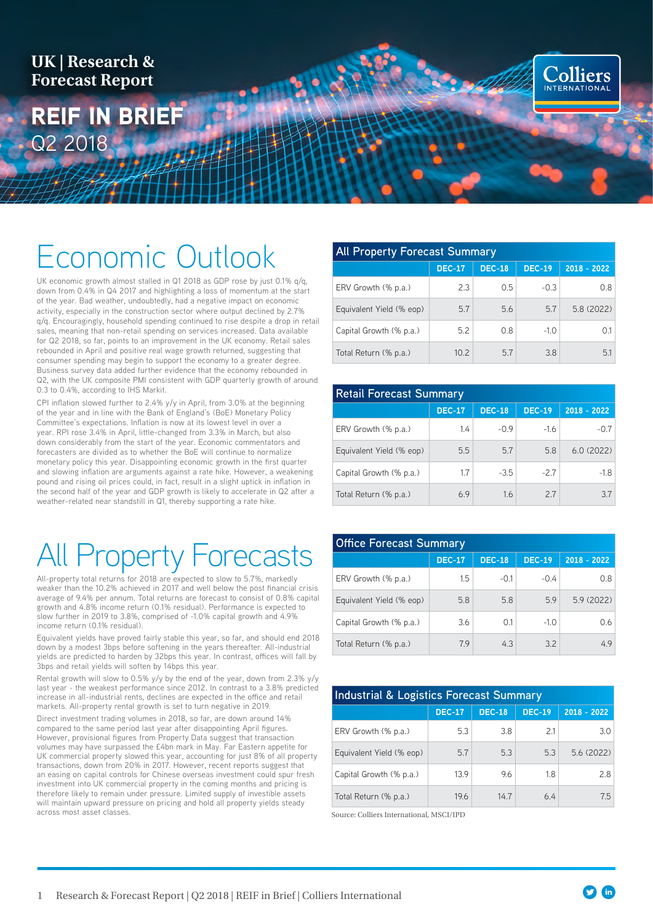**UK | Research & Forecast Report**

# REIF IN BRIEF Q2 2018

# Economic Outlook

UK economic growth almost stalled in Q1 2018 as GDP rose by just 0.1% q/q, down from 0.4% in Q4 2017 and highlighting a loss of momentum at the start of the year. Bad weather, undoubtedly, had a negative impact on economic activity, especially in the construction sector where output declined by 2.7% q/q. Encouragingly, household spending continued to rise despite a drop in retail sales, meaning that non-retail spending on services increased. Data available for Q2 2018, so far, points to an improvement in the UK economy. Retail sales rebounded in April and positive real wage growth returned, suggesting that consumer spending may begin to support the economy to a greater degree. Business survey data added further evidence that the economy rebounded in Q2, with the UK composite PMI consistent with GDP quarterly growth of around 0.3 to 0.4%, according to IHS Markit.

**SARRING** 

CPI inflation slowed further to 2.4% y/y in April, from 3.0% at the beginning of the year and in line with the Bank of England's (BoE) Monetary Policy Committee's expectations. Inflation is now at its lowest level in over a year. RPI rose 3.4% in April, little-changed from 3.3% in March, but also down considerably from the start of the year. Economic commentators and forecasters are divided as to whether the BoE will continue to normalize monetary policy this year. Disappointing economic growth in the first quarter and slowing inflation are arguments against a rate hike. However, a weakening pound and rising oil prices could, in fact, result in a slight uptick in inflation in the second half of the year and GDP growth is likely to accelerate in Q2 after a weather-related near standstill in Q1, thereby supporting a rate hike.

# All Property Forecasts

All-property total returns for 2018 are expected to slow to 5.7%, markedly weaker than the 10.2% achieved in 2017 and well below the post financial crisis average of 9.4% per annum. Total returns are forecast to consist of 0.8% capital growth and 4.8% income return (0.1% residual). Performance is expected to slow further in 2019 to 3.8%, comprised of -1.0% capital growth and 4.9% income return (0.1% residual).

Equivalent yields have proved fairly stable this year, so far, and should end 2018 down by a modest 3bps before softening in the years thereafter. All-industrial yields are predicted to harden by 32bps this year. In contrast, offices will fall by 3bps and retail yields will soften by 14bps this year.

Rental growth will slow to 0.5% y/y by the end of the year, down from 2.3% y/y last year - the weakest performance since 2012. In contrast to a 3.8% predicted increase in all-industrial rents, declines are expected in the office and retail markets. All-property rental growth is set to turn negative in 2019.

Direct investment trading volumes in 2018, so far, are down around 14% compared to the same period last year after disappointing April figures. However, provisional figures from Property Data suggest that transaction volumes may have surpassed the £4bn mark in May. Far Eastern appetite for UK commercial property slowed this year, accounting for just 8% of all property transactions, down from 20% in 2017. However, recent reports suggest that an easing on capital controls for Chinese overseas investment could spur fresh investment into UK commercial property in the coming months and pricing is therefore likely to remain under pressure. Limited supply of investible assets will maintain upward pressure on pricing and hold all property yields steady across most asset classes.

| <b>All Property Forecast Summary</b> |               |               |               |               |
|--------------------------------------|---------------|---------------|---------------|---------------|
|                                      | <b>DEC-17</b> | <b>DEC-18</b> | <b>DEC-19</b> | $2018 - 2022$ |
| ERV Growth (% p.a.)                  | 2.3           | 0.5           | $-0.3$        | 0.8           |
| Equivalent Yield (% eop)             | 5.7           | 5.6           | 5.7           | 5.8 (2022)    |
| Capital Growth (% p.a.)              | 5.2           | 0.8           | $-1.0$        | 0.1           |
| Total Return (% p.a.)                | 10.2          | 57            | 3.8           | 5.1           |

**Colliers** 

| <b>Retail Forecast Summary</b> |               |               |               |               |
|--------------------------------|---------------|---------------|---------------|---------------|
|                                | <b>DEC-17</b> | <b>DEC-18</b> | <b>DEC-19</b> | $2018 - 2022$ |
| ERV Growth (% p.a.)            | 1.4           | $-0.9$        | $-1.6$        | $-0.7$        |
| Equivalent Yield (% eop)       | 5.5           | 5.7           | 5.8           | 6.0(2022)     |
| Capital Growth (% p.a.)        | 1.7           | $-3.5$        | $-27$         | $-1.8$        |
| Total Return (% p.a.)          | 6.9           | 1.6           | 2.7           | 3.7           |

| <b>Office Forecast Summary</b> |               |               |               |               |
|--------------------------------|---------------|---------------|---------------|---------------|
|                                | <b>DEC-17</b> | <b>DEC-18</b> | <b>DEC-19</b> | $2018 - 2022$ |
| ERV Growth (% p.a.)            | 1.5           | $-0.1$        | $-0.4$        | 0.8           |
| Equivalent Yield (% eop)       | 5.8           | 5.8           | 5.9           | 5.9 (2022)    |
| Capital Growth (% p.a.)        | 3.6           | 0.1           | $-1.0$        | 0.6           |
| Total Return (% p.a.)          | 7.9           | 4.3           | 3.2           | 4.9           |

| <b>Industrial &amp; Logistics Forecast Summary</b> |               |               |               |               |
|----------------------------------------------------|---------------|---------------|---------------|---------------|
|                                                    | <b>DEC-17</b> | <b>DEC-18</b> | <b>DEC-19</b> | $2018 - 2022$ |
| ERV Growth (% p.a.)                                | 5.3           | 3.8           | 2.1           | 3.0           |
| Equivalent Yield (% eop)                           | 5.7           | 5.3           | 5.3           | 5.6(2022)     |
| Capital Growth (% p.a.)                            | 13.9          | 9.6           | 1.8           | 2.8           |
| Total Return (% p.a.)                              | 19.6          | 14.7          | 64            | 7.5           |

Source: Colliers International, MSCI/IPD

 $\bullet$  (in